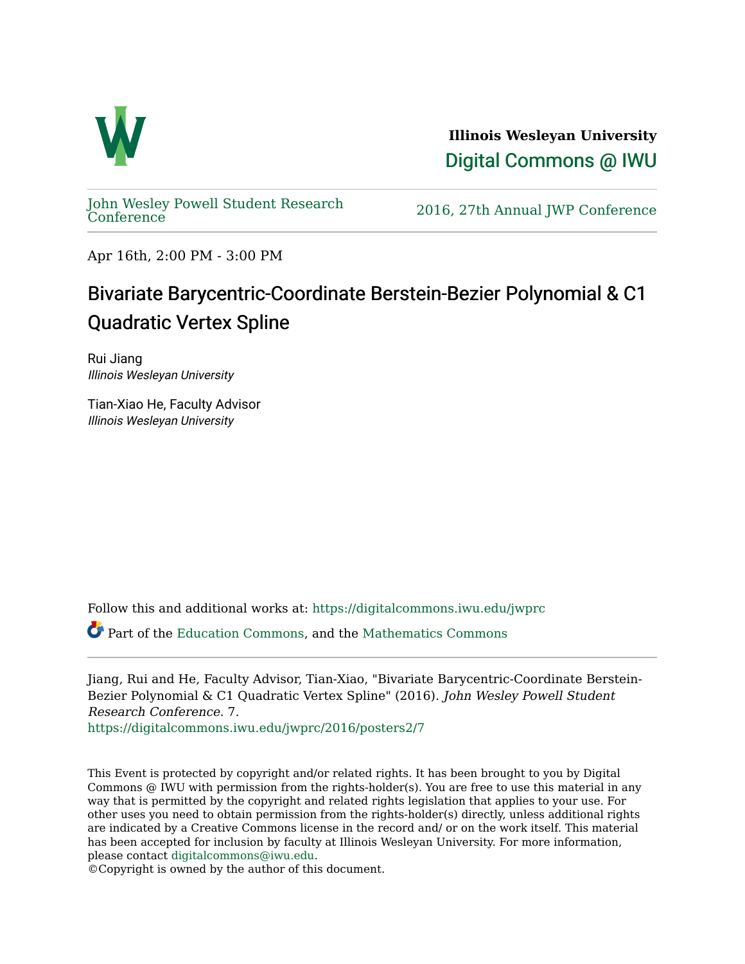

**Illinois Wesleyan University**  [Digital Commons @ IWU](https://digitalcommons.iwu.edu/) 

[John Wesley Powell Student Research](https://digitalcommons.iwu.edu/jwprc) 

2016, 27th Annual JWP [Conference](https://digitalcommons.iwu.edu/jwprc)

Apr 16th, 2:00 PM - 3:00 PM

## Bivariate Barycentric-Coordinate Berstein-Bezier Polynomial & C1 Quadratic Vertex Spline

Rui Jiang Illinois Wesleyan University

Tian-Xiao He, Faculty Advisor Illinois Wesleyan University

Follow this and additional works at: [https://digitalcommons.iwu.edu/jwprc](https://digitalcommons.iwu.edu/jwprc?utm_source=digitalcommons.iwu.edu%2Fjwprc%2F2016%2Fposters2%2F7&utm_medium=PDF&utm_campaign=PDFCoverPages) 

Part of the [Education Commons](http://network.bepress.com/hgg/discipline/784?utm_source=digitalcommons.iwu.edu%2Fjwprc%2F2016%2Fposters2%2F7&utm_medium=PDF&utm_campaign=PDFCoverPages), and the [Mathematics Commons](http://network.bepress.com/hgg/discipline/174?utm_source=digitalcommons.iwu.edu%2Fjwprc%2F2016%2Fposters2%2F7&utm_medium=PDF&utm_campaign=PDFCoverPages)

Jiang, Rui and He, Faculty Advisor, Tian-Xiao, "Bivariate Barycentric-Coordinate Berstein-Bezier Polynomial & C1 Quadratic Vertex Spline" (2016). John Wesley Powell Student Research Conference. 7.

[https://digitalcommons.iwu.edu/jwprc/2016/posters2/7](https://digitalcommons.iwu.edu/jwprc/2016/posters2/7?utm_source=digitalcommons.iwu.edu%2Fjwprc%2F2016%2Fposters2%2F7&utm_medium=PDF&utm_campaign=PDFCoverPages)

This Event is protected by copyright and/or related rights. It has been brought to you by Digital Commons @ IWU with permission from the rights-holder(s). You are free to use this material in any way that is permitted by the copyright and related rights legislation that applies to your use. For other uses you need to obtain permission from the rights-holder(s) directly, unless additional rights are indicated by a Creative Commons license in the record and/ or on the work itself. This material has been accepted for inclusion by faculty at Illinois Wesleyan University. For more information, please contact [digitalcommons@iwu.edu.](mailto:digitalcommons@iwu.edu)

©Copyright is owned by the author of this document.